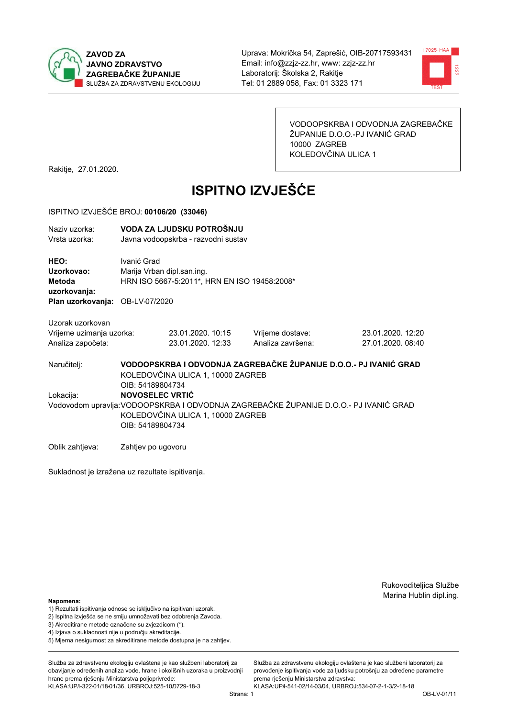



VODOOPSKRBA I ODVODNJA ZAGREBAČKE ŽUPANIJE D.O.O.-PJ IVANIĆ GRAD 10000 ZAGREB KOLEDOVČINA ULICA 1

Rakitje, 27.01.2020.

# **ISPITNO IZVJEŠĆE**

#### ISPITNO IZVJEŠĆE BROJ: 00106/20 (33046)

| Naziv uzorka: | VODA ZA LJUDSKU POTROŠNJU           |
|---------------|-------------------------------------|
| Vrsta uzorka: | Javna vodoopskrba - razvodni sustav |
| <b>HEO:</b>   | Ivanić Grad                         |
| Uzorkovao:    | Marija Vrban dipl.san.ing.          |

Metoda HRN ISO 5667-5:2011\*, HRN EN ISO 19458:2008\* uzorkovanja:

Plan uzorkovanja: OB-LV-07/2020

Uzorak uzorkovan

| Vrijeme uzimanja uzorka: | 23.01.2020. 10:15 | Vrijeme dostave:  | 23.01.2020. 12:20 |
|--------------------------|-------------------|-------------------|-------------------|
| Analiza započeta:        | 23.01.2020. 12:33 | Analiza završena: | 27.01.2020. 08:40 |

VODOOPSKRBA I ODVODNJA ZAGREBAČKE ŽUPANIJE D.O.O.- PJ IVANIĆ GRAD Naručitelj: KOLEDOVČINA ULICA 1, 10000 ZAGREB OIB: 54189804734 Lokacija: **NOVOSELEC VRTIĆ** Vodovodom upravlja: VODOOPSKRBA I ODVODNJA ZAGREBAČKE ŽUPANIJE D.O.O.- PJ IVANIĆ GRAD KOLEDOVČINA ULICA 1, 10000 ZAGREB OIB: 54189804734

Oblik zahtjeva: Zahtjev po ugovoru

Sukladnost je izražena uz rezultate ispitivanja.

Rukovoditeljica Službe Marina Hublin dipl.ing.

#### Napomena:

- 1) Rezultati ispitivanja odnose se isključivo na ispitivani uzorak.
- 2) Ispitna izvješća se ne smiju umnožavati bez odobrenja Zavoda.
- 3) Akreditirane metode označene su zvjezdicom (\*).
- 4) Iziava o sukladnosti nije u području akreditacije.
- 5) Mjerna nesigurnost za akreditirane metode dostupna je na zahtjev.

Služba za zdravstvenu ekologiju ovlaštena je kao službeni laboratorij za obavlianie određenih analiza vode, hrane i okolišnih uzoraka u proizvodniji hrane prema rješenju Ministarstva poljoprivrede: KLASA:UP/l-322-01/18-01/36, URBROJ:525-10/0729-18-3

Služba za zdravstvenu ekologiju ovlaštena je kao službeni laboratorij za provođenie ispitivania vode za liudsku potrošniu za određene parametre prema riešenju Ministarstva zdravstva: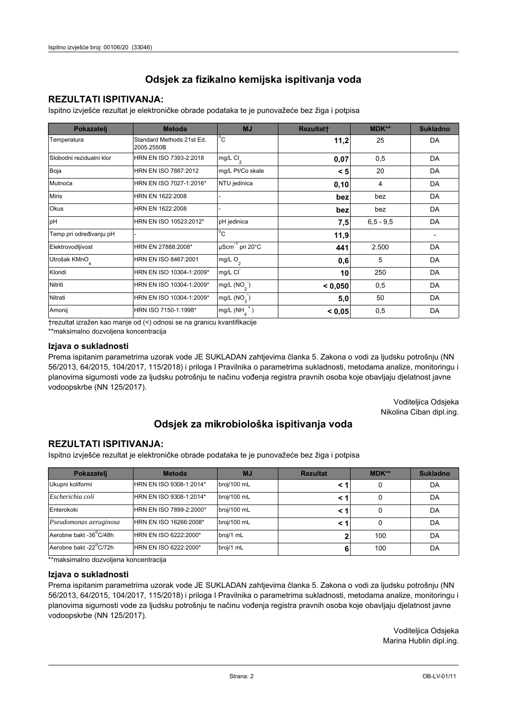### **REZULTATI ISPITIVANJA:**

Ispitno izviešće rezultat je elektroničke obrade podataka te je punovažeće bez žiga i potpisa

| Pokazatelj                | <b>Metoda</b>                           | <b>MJ</b>               | <b>Rezultatt</b> | MDK**         | <b>Sukladno</b> |
|---------------------------|-----------------------------------------|-------------------------|------------------|---------------|-----------------|
| Temperatura               | Standard Methods 21st Ed.<br>2005.2550B | $^{\circ}$ C            | 11,2             | 25            | DA              |
| Slobodni rezidualni klor  | HRN EN ISO 7393-2:2018                  | $mg/L$ Cl <sub>2</sub>  | 0,07             | 0,5           | DA              |
| Boja                      | HRN EN ISO 7887:2012                    | mg/L Pt/Co skale        | < 5              | 20            | DA              |
| Mutnoća                   | HRN EN ISO 7027-1:2016*                 | NTU jedinica            | 0,10             | 4             | DA              |
| <b>Miris</b>              | HRN EN 1622:2008                        |                         | bez              | bez           | DA              |
| Okus                      | HRN EN 1622:2008                        |                         | bez              | bez           | DA              |
| pH                        | HRN EN ISO 10523:2012*                  | pH jedinica             | 7,5              | $6, 5 - 9, 5$ | DA              |
| Temp.pri određivanju pH   |                                         | $^{\circ}$ C            | 11,9             |               |                 |
| Elektrovodljivost         | HRN EN 27888:2008*                      | µScm-1 pri 20°C         | 441              | 2.500         | DA              |
| Utrošak KMnO <sub>4</sub> | HRN EN ISO 8467:2001                    | mg/L O <sub>2</sub>     | 0,6              | 5             | DA              |
| Kloridi                   | HRN EN ISO 10304-1:2009*                | mg/L CI                 | 10               | 250           | DA              |
| Nitriti                   | HRN EN ISO 10304-1:2009*                | mg/L (NO <sub>2</sub> ) | < 0.050          | 0,5           | DA              |
| Nitrati                   | HRN EN ISO 10304-1:2009*                | mg/L (NO <sub>3</sub> ) | 5,0              | 50            | DA              |
| Amonij                    | HRN ISO 7150-1:1998*                    | mg/L (NH                | < 0,05           | 0,5           | DA              |

trezultat izražen kao manje od (<) odnosi se na granicu kvantifikacije

\*\*maksimalno dozvoljena koncentracija

### Izjava o sukladnosti

Prema ispitanim parametrima uzorak vode JE SUKLADAN zahtievima članka 5. Zakona o vodi za ljudsku potrošnju (NN 56/2013, 64/2015, 104/2017, 115/2018) i priloga I Pravilnika o parametrima sukladnosti, metodama analize, monitoringu i planovima sigurnosti vode za ljudsku potrošnju te načinu vođenja registra pravnih osoba koje obavljaju djelatnost javne vodoopskrbe (NN 125/2017).

> Voditeljica Odsjeka Nikolina Ciban dipl.ing.

## Odsjek za mikrobiološka ispitivanja voda

### **REZULTATI ISPITIVANJA:**

Ispitno izvješće rezultat je elektroničke obrade podataka te je punovažeće bez žiga i potpisa

| Pokazatelj             | <b>Metoda</b>           | <b>MJ</b>   | <b>Rezultat</b> | <b>MDK**</b> | <b>Sukladno</b> |
|------------------------|-------------------------|-------------|-----------------|--------------|-----------------|
| Ukupni koliformi       | HRN EN ISO 9308-1:2014* | broj/100 mL |                 |              | DA              |
| Escherichia coli       | HRN EN ISO 9308-1:2014* | broj/100 mL | < '             | 0            | DA              |
| Enterokoki             | HRN EN ISO 7899-2:2000* | broj/100 mL | < '             |              | DA              |
| Pseudomonas aeruginosa | HRN EN ISO 16266:2008*  | broj/100 mL | < '             | 0            | DA              |
| Aerobne bakt -36°C/48h | HRN EN ISO 6222:2000*   | broj/1 mL   |                 | 100          | DA              |
| Aerobne bakt -22°C/72h | HRN EN ISO 6222:2000*   | broj/1 mL   | 6               | 100          | DA              |

\*\* maksimalno dozvoljena koncentracija

### Izjava o sukladnosti

Prema ispitanim parametrima uzorak vode JE SUKLADAN zahtjevima članka 5. Zakona o vodi za ljudsku potrošnju (NN 56/2013, 64/2015, 104/2017, 115/2018) i priloga I Pravilnika o parametrima sukladnosti, metodama analize, monitoringu i planovima sigurnosti vode za ljudsku potrošnju te načinu vođenja registra pravnih osoba koje obavljaju djelatnost javne vodoopskrbe (NN 125/2017).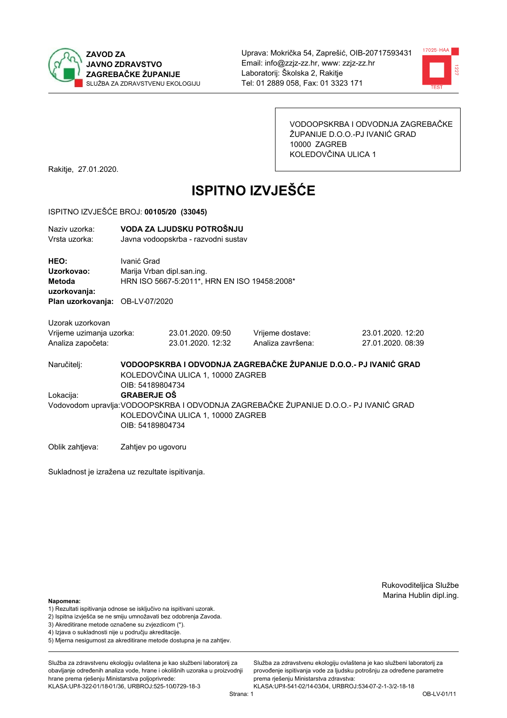



VODOOPSKRBA I ODVODNJA ZAGREBAČKE ŽUPANIJE D.O.O.-PJ IVANIĆ GRAD 10000 ZAGREB KOLEDOVČINA ULICA 1

Rakitje, 27.01.2020.

# **ISPITNO IZVJEŠĆE**

#### ISPITNO IZVJEŠĆE BROJ: 00105/20 (33045)

| Naziv uzorka: | VODA ZA LJUDSKU POTROŠNJU           |
|---------------|-------------------------------------|
| Vrsta uzorka: | Javna vodoopskrba - razvodni sustav |

HEO: Ivanić Grad Uzorkovao: Marija Vrban dipl.san.ing. Metoda HRN ISO 5667-5:2011\*, HRN EN ISO 19458:2008\* uzorkovanja: Plan uzorkovanja: OB-LV-07/2020

Uzorak uzorkovan Vrijeme uzimanja uzork

Analiza započeta:

| ca: | 23.01.2020. 09:50 |  |
|-----|-------------------|--|
|     | 23.01.2020.1232   |  |

Vrijeme dostave: Analiza završena: 23.01.2020. 12:20 27.01.2020. 08:39

Naručitelj:

Lokacija:

VODOOPSKRBA I ODVODNJA ZAGREBAČKE ŽUPANIJE D.O.O.- PJ IVANIĆ GRAD KOLEDOVČINA ULICA 1, 10000 ZAGREB OIB: 54189804734 **GRABERJE OŠ** Vodovodom upravlja: VODOOPSKRBA I ODVODNJA ZAGREBAČKE ŽUPANIJE D.O.O.- PJ IVANIĆ GRAD KOLEDOVČINA ULICA 1, 10000 ZAGREB OIB: 54189804734

Oblik zahtjeva: Zahtjev po ugovoru

Sukladnost je izražena uz rezultate ispitivanja.

Rukovoditeljica Službe Marina Hublin dipl.ing.

Napomena:

- 1) Rezultati ispitivanja odnose se isključivo na ispitivani uzorak.
- 2) Ispitna izvješća se ne smiju umnožavati bez odobrenja Zavoda.
- 3) Akreditirane metode označene su zvjezdicom (\*).
- 4) Iziava o sukladnosti nije u područiu akreditacije.
- 5) Mjerna nesigurnost za akreditirane metode dostupna je na zahtjev.

Služba za zdravstvenu ekologiju ovlaštena je kao službeni laboratorij za obavlianie određenih analiza vode, hrane i okolišnih uzoraka u proizvodniji hrane prema rješenju Ministarstva poljoprivrede: KLASA:UP/l-322-01/18-01/36, URBROJ:525-10/0729-18-3

Služba za zdravstvenu ekologiju ovlaštena je kao službeni laboratorij za provođenie ispitivania vode za liudsku potrošniu za određene parametre prema riešenju Ministarstva zdravstva:

KLASA:UP/l-541-02/14-03/04, URBROJ:534-07-2-1-3/2-18-18 Strana: 1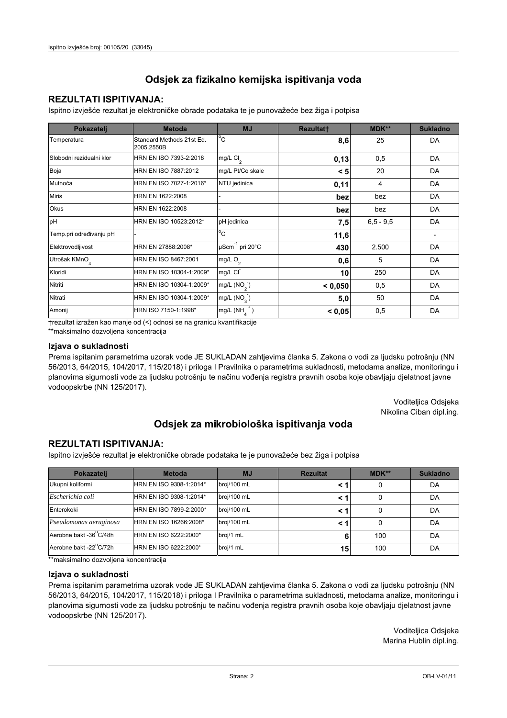### **REZULTATI ISPITIVANJA:**

Ispitno izviešće rezultat je elektroničke obrade podataka te je punovažeće bez žiga i potpisa

| Pokazatelj                | <b>Metoda</b>                           | <b>MJ</b>        | <b>Rezultatt</b> | MDK**         | <b>Sukladno</b> |
|---------------------------|-----------------------------------------|------------------|------------------|---------------|-----------------|
| Temperatura               | Standard Methods 21st Ed.<br>2005.2550B | $^{\circ}$ C     | 8,6              | 25            | DA              |
| Slobodni rezidualni klor  | HRN EN ISO 7393-2:2018                  | mg/L $Cl2$       | 0,13             | 0,5           | DA              |
| Boja                      | HRN EN ISO 7887:2012                    | mg/L Pt/Co skale | < 5              | 20            | DA              |
| Mutnoća                   | HRN EN ISO 7027-1:2016*                 | NTU jedinica     | 0,11             | 4             | DA              |
| <b>Miris</b>              | HRN EN 1622:2008                        |                  | bez              | bez           | DA              |
| <b>Okus</b>               | HRN EN 1622:2008                        |                  | bez              | bez           | DA              |
| pH                        | HRN EN ISO 10523:2012*                  | pH jedinica      | 7,5              | $6, 5 - 9, 5$ | DA              |
| Temp.pri određivanju pH   |                                         | $^{\circ}$ C     | 11,6             |               |                 |
| Elektrovodljivost         | HRN EN 27888:2008*                      | µScm-1 pri 20°C  | 430              | 2.500         | DA              |
| Utrošak KMnO <sub>4</sub> | HRN EN ISO 8467:2001                    | mg/L $O_2$       | 0,6              | 5             | DA              |
| Kloridi                   | HRN EN ISO 10304-1:2009*                | mg/L CI          | 10               | 250           | DA              |
| Nitriti                   | HRN EN ISO 10304-1:2009*                | mg/L $(NO2)$     | < 0,050          | 0,5           | DA              |
| Nitrati                   | HRN EN ISO 10304-1:2009*                | mg/L $(NO3)$     | 5,0              | 50            | DA              |
| Amonij                    | HRN ISO 7150-1:1998*                    | mg/L (NH         | < 0,05           | 0,5           | DA              |

trezultat izražen kao manje od (<) odnosi se na granicu kvantifikacije

\*\*maksimalno dozvoljena koncentracija

### Izjava o sukladnosti

Prema ispitanim parametrima uzorak vode JE SUKLADAN zahtievima članka 5. Zakona o vodi za ljudsku potrošnju (NN 56/2013, 64/2015, 104/2017, 115/2018) i priloga I Pravilnika o parametrima sukladnosti, metodama analize, monitoringu i planovima sigurnosti vode za ljudsku potrošnju te načinu vođenja registra pravnih osoba koje obavljaju djelatnost javne vodoopskrbe (NN 125/2017).

> Voditeljica Odsjeka Nikolina Ciban dipl.ing.

## Odsjek za mikrobiološka ispitivanja voda

### **REZULTATI ISPITIVANJA:**

Ispitno izvješće rezultat je elektroničke obrade podataka te je punovažeće bez žiga i potpisa

| Pokazatelj             | <b>Metoda</b>           | <b>MJ</b>   | <b>Rezultat</b> | $MDK**$ | <b>Sukladno</b> |
|------------------------|-------------------------|-------------|-----------------|---------|-----------------|
| Ukupni koliformi       | HRN EN ISO 9308-1:2014* | broj/100 mL |                 | 0       | DA              |
| Escherichia coli       | HRN EN ISO 9308-1:2014* | broj/100 mL |                 | 0       | DA              |
| Enterokoki             | HRN EN ISO 7899-2:2000* | broj/100 mL |                 | 0       | DA              |
| Pseudomonas aeruginosa | HRN EN ISO 16266:2008*  | broj/100 mL | < 1             | 0       | DA              |
| Aerobne bakt -36 C/48h | HRN EN ISO 6222:2000*   | broj/1 mL   | 6               | 100     | DA              |
| Aerobne bakt -22°C/72h | HRN EN ISO 6222:2000*   | broj/1 mL   | 15              | 100     | DA              |

\*\* maksimalno dozvoljena koncentracija

### Izjava o sukladnosti

Prema ispitanim parametrima uzorak vode JE SUKLADAN zahtjevima članka 5. Zakona o vodi za ljudsku potrošnju (NN 56/2013, 64/2015, 104/2017, 115/2018) i priloga I Pravilnika o parametrima sukladnosti, metodama analize, monitoringu i planovima sigurnosti vode za ljudsku potrošnju te načinu vođenja registra pravnih osoba koje obavljaju djelatnost javne vodoopskrbe (NN 125/2017).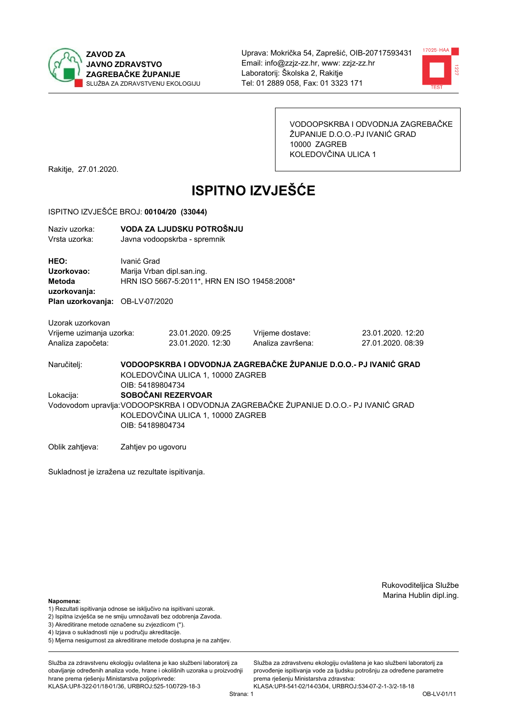



VODOOPSKRBA I ODVODNJA ZAGREBAČKE ŽUPANIJE D.O.O.-PJ IVANIĆ GRAD 10000 ZAGREB KOLEDOVČINA ULICA 1

Rakitje, 27.01.2020.

# **ISPITNO IZVJEŠĆE**

### ISPITNO IZVJEŠĆE BROJ: 00104/20 (33044)

| Naziv uzorka: | VODA ZA LJUDSKU POTROŠNJU    |
|---------------|------------------------------|
| Vrsta uzorka: | Javna vodoopskrba - spremnik |

HEO: Ivanić Grad Uzorkovao: Marija Vrban dipl.san.ing. Metoda HRN ISO 5667-5:2011\*, HRN EN ISO 19458:2008\* uzorkovanja: Plan uzorkovanja: OB-LV-07/2020

Uzorak uzorkovan

| Vrijeme uzimanja uzorka: | 23.01.2020.09:25  | Vrijeme dostave:  | 23.01.2020. 12:20 |
|--------------------------|-------------------|-------------------|-------------------|
| Analiza započeta:        | 23.01.2020. 12:30 | Analiza završena: | 27.01.2020.08:39  |

VODOOPSKRBA I ODVODNJA ZAGREBAČKE ŽUPANIJE D.O.O.- PJ IVANIĆ GRAD Naručitelj: KOLEDOVČINA ULICA 1, 10000 ZAGREB OIB: 54189804734 Lokacija: SOBOČANI REZERVOAR Vodovodom upravlja: VODOOPSKRBA I ODVODNJA ZAGREBAČKE ŽUPANIJE D.O.O.- PJ IVANIĆ GRAD KOLEDOVČINA ULICA 1, 10000 ZAGREB OIB: 54189804734

Oblik zahtjeva: Zahtjev po ugovoru

Sukladnost je izražena uz rezultate ispitivanja.

Rukovoditeljica Službe Marina Hublin dipl.ing.

### Napomena:

- 1) Rezultati ispitivanja odnose se isključivo na ispitivani uzorak.
- 2) Ispitna izvješća se ne smiju umnožavati bez odobrenja Zavoda.
- 3) Akreditirane metode označene su zvjezdicom (\*).
- 4) Iziava o sukladnosti nije u području akreditacije.
- 5) Mjerna nesigurnost za akreditirane metode dostupna je na zahtjev.

Služba za zdravstvenu ekologiju ovlaštena je kao službeni laboratorij za obavlianie određenih analiza vode, hrane i okolišnih uzoraka u proizvodniji hrane prema rješenju Ministarstva poljoprivrede: KLASA:UP/l-322-01/18-01/36, URBROJ:525-10/0729-18-3

Strana: 1

Služba za zdravstvenu ekologiju ovlaštena je kao službeni laboratorij za provođenie ispitivania vode za liudsku potrošniu za određene parametre prema riešenju Ministarstva zdravstva: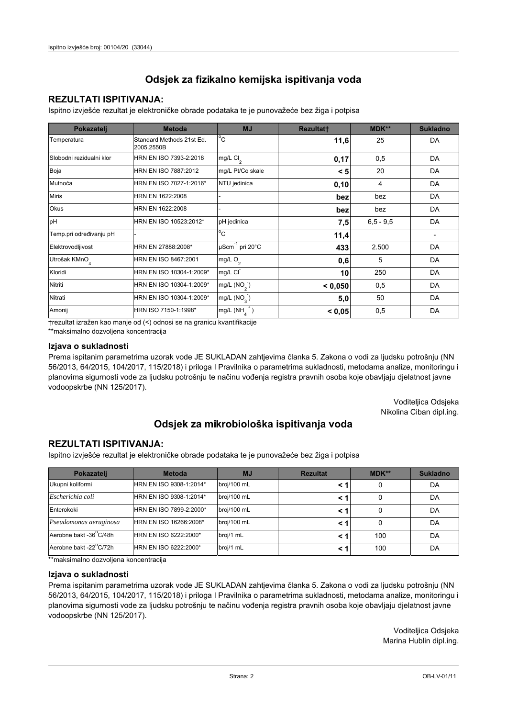### **REZULTATI ISPITIVANJA:**

Ispitno izviešće rezultat je elektroničke obrade podataka te je punovažeće bez žiga i potpisa

| Pokazatelj                | <b>Metoda</b>                           | <b>MJ</b>                   | <b>Rezultatt</b> | MDK**         | <b>Sukladno</b> |
|---------------------------|-----------------------------------------|-----------------------------|------------------|---------------|-----------------|
| Temperatura               | Standard Methods 21st Ed.<br>2005.2550B | $^{\circ}$ C                | 11,6             | 25            | DA              |
| Slobodni rezidualni klor  | HRN EN ISO 7393-2:2018                  | mg/L Cl <sub>2</sub>        | 0,17             | 0,5           | DA              |
| Boja                      | HRN EN ISO 7887:2012                    | mg/L Pt/Co skale            | < 5              | 20            | DA              |
| Mutnoća                   | HRN EN ISO 7027-1:2016*                 | NTU jedinica                | 0,10             | 4             | DA              |
| <b>Miris</b>              | HRN EN 1622:2008                        |                             | bez              | bez           | DA              |
| <b>Okus</b>               | HRN EN 1622:2008                        |                             | bez              | bez           | DA              |
| pH                        | HRN EN ISO 10523:2012*                  | pH jedinica                 | 7,5              | $6, 5 - 9, 5$ | DA              |
| Temp.pri određivanju pH   |                                         | $\overline{C}$              | 11,4             |               |                 |
| Elektrovodljivost         | HRN EN 27888:2008*                      | µScm <sup>-1</sup> pri 20°C | 433              | 2.500         | DA              |
| Utrošak KMnO <sub>4</sub> | HRN EN ISO 8467:2001                    | mg/L O <sub>2</sub>         | 0,6              | 5             | DA              |
| Kloridi                   | HRN EN ISO 10304-1:2009*                | mg/L CI                     | 10               | 250           | DA              |
| Nitriti                   | HRN EN ISO 10304-1:2009*                | mg/L $(NO2)$                | < 0,050          | 0,5           | DA              |
| Nitrati                   | HRN EN ISO 10304-1:2009*                | mg/L (NO <sub>3</sub> )     | 5,0              | 50            | DA              |
| Amonij                    | HRN ISO 7150-1:1998*                    | mg/L (NH                    | < 0,05           | 0,5           | DA              |

trezultat izražen kao manje od (<) odnosi se na granicu kvantifikacije

\*\*maksimalno dozvoljena koncentracija

### Izjava o sukladnosti

Prema ispitanim parametrima uzorak vode JE SUKLADAN zahtievima članka 5. Zakona o vodi za ljudsku potrošnju (NN 56/2013, 64/2015, 104/2017, 115/2018) i priloga I Pravilnika o parametrima sukladnosti, metodama analize, monitoringu i planovima sigurnosti vode za ljudsku potrošnju te načinu vođenja registra pravnih osoba koje obavljaju djelatnost javne vodoopskrbe (NN 125/2017).

> Voditeljica Odsjeka Nikolina Ciban dipl.ing.

## Odsjek za mikrobiološka ispitivanja voda

### **REZULTATI ISPITIVANJA:**

Ispitno izvješće rezultat je elektroničke obrade podataka te je punovažeće bez žiga i potpisa

| Pokazatelj             | <b>Metoda</b>           | <b>MJ</b>   | <b>Rezultat</b> | <b>MDK**</b> | <b>Sukladno</b> |
|------------------------|-------------------------|-------------|-----------------|--------------|-----------------|
| Ukupni koliformi       | HRN EN ISO 9308-1:2014* | broj/100 mL |                 |              | DA              |
| Escherichia coli       | HRN EN ISO 9308-1:2014* | broj/100 mL | < 1             |              | DA              |
| Enterokoki             | HRN EN ISO 7899-2:2000* | broj/100 mL | < '             |              | DA              |
| Pseudomonas aeruginosa | HRN EN ISO 16266:2008*  | broj/100 mL | < 1             | 0            | DA              |
| Aerobne bakt -36 C/48h | HRN EN ISO 6222:2000*   | broj/1 mL   |                 | 100          | DA              |
| Aerobne bakt -22°C/72h | HRN EN ISO 6222:2000*   | broj/1 mL   | < 1             | 100          | DA              |

\*\* maksimalno dozvoljena koncentracija

### Izjava o sukladnosti

Prema ispitanim parametrima uzorak vode JE SUKLADAN zahtjevima članka 5. Zakona o vodi za ljudsku potrošnju (NN 56/2013, 64/2015, 104/2017, 115/2018) i priloga I Pravilnika o parametrima sukladnosti, metodama analize, monitoringu i planovima sigurnosti vode za ljudsku potrošnju te načinu vođenja registra pravnih osoba koje obavljaju djelatnost javne vodoopskrbe (NN 125/2017).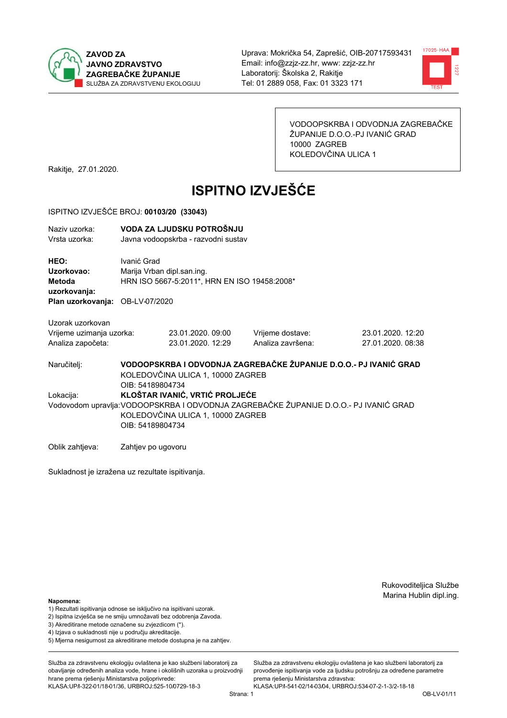



VODOOPSKRBA I ODVODNJA ZAGREBAČKE ŽUPANIJE D.O.O.-PJ IVANIĆ GRAD 10000 ZAGREB KOLEDOVČINA ULICA 1

Rakitje, 27.01.2020.

# **ISPITNO IZVJEŠĆE**

#### ISPITNO IZVJEŠĆE BROJ: 00103/20 (33043)

| Naziv uzorka: | VODA ZA LJUDSKU POTROŠNJU           |
|---------------|-------------------------------------|
| Vrsta uzorka: | Javna vodoopskrba - razvodni sustav |

HEO: Ivanić Grad Uzorkovao: Marija Vrban dipl.san.ing. Metoda HRN ISO 5667-5:2011\*, HRN EN ISO 19458:2008\* uzorkovanja: Plan uzorkovanja: OB-LV-07/2020

Uzorak uzorkovan Vrijeme uzimanja uzorka: Analiza započeta:

23.01.2020.09:00 Vrijeme dostave: 23.01.2020. 12:29 Analiza završena: 23.01.2020. 12:20 27.01.2020. 08:38

VODOOPSKRBA I ODVODNJA ZAGREBAČKE ŽUPANIJE D.O.O.- PJ IVANIĆ GRAD Naručitelj: KOLEDOVČINA ULICA 1, 10000 ZAGREB OIB: 54189804734 Lokacija: **KLOŠTAR IVANIĆ, VRTIĆ PROLJEĆE** Vodovodom upravlja: VODOOPSKRBA I ODVODNJA ZAGREBAČKE ŽUPANIJE D.O.O.- PJ IVANIĆ GRAD KOLEDOVČINA ULICA 1, 10000 ZAGREB OIB: 54189804734

Oblik zahtjeva: Zahtjev po ugovoru

Sukladnost je izražena uz rezultate ispitivanja.

Rukovoditeljica Službe Marina Hublin dipl.ing.

Napomena:

- 1) Rezultati ispitivanja odnose se isključivo na ispitivani uzorak.
- 2) Ispitna izvješća se ne smiju umnožavati bez odobrenja Zavoda.
- 3) Akreditirane metode označene su zvjezdicom (\*).
- 4) Iziava o sukladnosti nije u područiu akreditacije.
- 5) Mjerna nesigurnost za akreditirane metode dostupna je na zahtjev.

Služba za zdravstvenu ekologiju ovlaštena je kao službeni laboratorij za obavlianie određenih analiza vode, hrane i okolišnih uzoraka u proizvodniji hrane prema rješenju Ministarstva poljoprivrede: KLASA:UP/l-322-01/18-01/36, URBROJ:525-10/0729-18-3

Služba za zdravstvenu ekologiju ovlaštena je kao službeni laboratorij za provođenie ispitivania vode za liudsku potrošniu za određene parametre prema riešenju Ministarstva zdravstva:

KLASA:UP/l-541-02/14-03/04, URBROJ:534-07-2-1-3/2-18-18 Strana: 1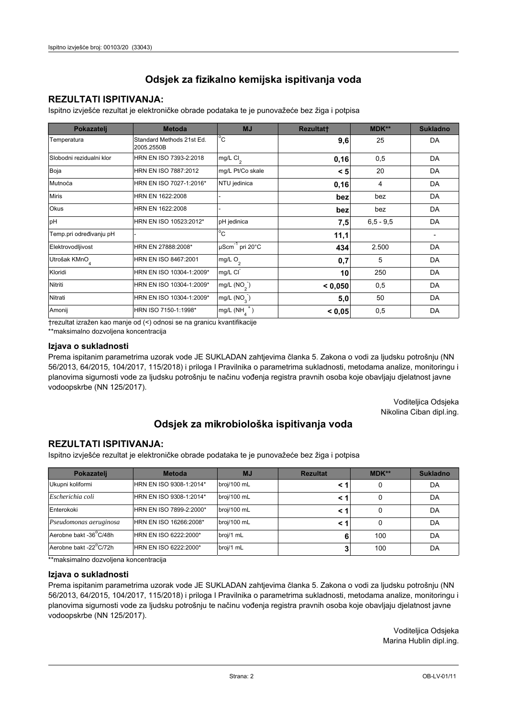### **REZULTATI ISPITIVANJA:**

Ispitno izviešće rezultat je elektroničke obrade podataka te je punovažeće bez žiga i potpisa

| Pokazatelj                | <b>Metoda</b>                           | <b>MJ</b>        | <b>Rezultatt</b> | <b>MDK**</b>  | <b>Sukladno</b> |
|---------------------------|-----------------------------------------|------------------|------------------|---------------|-----------------|
| Temperatura               | Standard Methods 21st Ed.<br>2005.2550B | $^{\circ}$ C     | 9,6              | 25            | DA              |
| Slobodni rezidualni klor  | HRN EN ISO 7393-2:2018                  | mg/L $Cl2$       | 0,16             | 0,5           | DA              |
| Boja                      | HRN EN ISO 7887:2012                    | mg/L Pt/Co skale | < 5              | 20            | DA              |
| Mutnoća                   | HRN EN ISO 7027-1:2016*                 | NTU jedinica     | 0,16             | 4             | DA              |
| <b>Miris</b>              | HRN EN 1622:2008                        |                  | bez              | bez           | DA              |
| <b>Okus</b>               | HRN EN 1622:2008                        |                  | bez              | bez           | DA              |
| pH                        | HRN EN ISO 10523:2012*                  | pH jedinica      | 7,5              | $6, 5 - 9, 5$ | DA              |
| Temp.pri određivanju pH   |                                         | $^{\circ}$ C     | 11,1             |               |                 |
| Elektrovodljivost         | HRN EN 27888:2008*                      | µScm-1 pri 20°C  | 434              | 2.500         | DA              |
| Utrošak KMnO <sub>4</sub> | HRN EN ISO 8467:2001                    | mg/L $O_2$       | 0,7              | 5             | DA              |
| Kloridi                   | HRN EN ISO 10304-1:2009*                | mg/L CI          | 10               | 250           | DA              |
| Nitriti                   | HRN EN ISO 10304-1:2009*                | mg/L $(NO2)$     | < 0,050          | 0,5           | DA              |
| Nitrati                   | HRN EN ISO 10304-1:2009*                | mg/L $(NO3)$     | 5,0              | 50            | DA              |
| Amonij                    | HRN ISO 7150-1:1998*                    | mg/L (NH         | < 0,05           | 0,5           | DA              |

trezultat izražen kao manje od (<) odnosi se na granicu kvantifikacije

\*\*maksimalno dozvoljena koncentracija

### Izjava o sukladnosti

Prema ispitanim parametrima uzorak vode JE SUKLADAN zahtievima članka 5. Zakona o vodi za ljudsku potrošnju (NN 56/2013, 64/2015, 104/2017, 115/2018) i priloga I Pravilnika o parametrima sukladnosti, metodama analize, monitoringu i planovima sigurnosti vode za ljudsku potrošnju te načinu vođenja registra pravnih osoba koje obavljaju djelatnost javne vodoopskrbe (NN 125/2017).

> Voditeljica Odsjeka Nikolina Ciban dipl.ing.

## Odsjek za mikrobiološka ispitivanja voda

### **REZULTATI ISPITIVANJA:**

Ispitno izvješće rezultat je elektroničke obrade podataka te je punovažeće bez žiga i potpisa

| Pokazatelj             | <b>Metoda</b>           | <b>MJ</b>   | <b>Rezultat</b> | <b>MDK**</b> | <b>Sukladno</b> |
|------------------------|-------------------------|-------------|-----------------|--------------|-----------------|
| Ukupni koliformi       | HRN EN ISO 9308-1:2014* | broj/100 mL |                 |              | DA              |
| Escherichia coli       | HRN EN ISO 9308-1:2014* | broj/100 mL | < '             | 0            | DA              |
| Enterokoki             | HRN EN ISO 7899-2:2000* | broj/100 mL | < '             |              | DA              |
| Pseudomonas aeruginosa | HRN EN ISO 16266:2008*  | broj/100 mL | < '             | 0            | DA              |
| Aerobne bakt -36°C/48h | HRN EN ISO 6222:2000*   | broj/1 mL   | 6               | 100          | DA              |
| Aerobne bakt -22°C/72h | HRN EN ISO 6222:2000*   | broj/1 mL   |                 | 100          | DA              |

\*\* maksimalno dozvoljena koncentracija

### Izjava o sukladnosti

Prema ispitanim parametrima uzorak vode JE SUKLADAN zahtjevima članka 5. Zakona o vodi za ljudsku potrošnju (NN 56/2013, 64/2015, 104/2017, 115/2018) i priloga I Pravilnika o parametrima sukladnosti, metodama analize, monitoringu i planovima sigurnosti vode za ljudsku potrošnju te načinu vođenja registra pravnih osoba koje obavljaju djelatnost javne vodoopskrbe (NN 125/2017).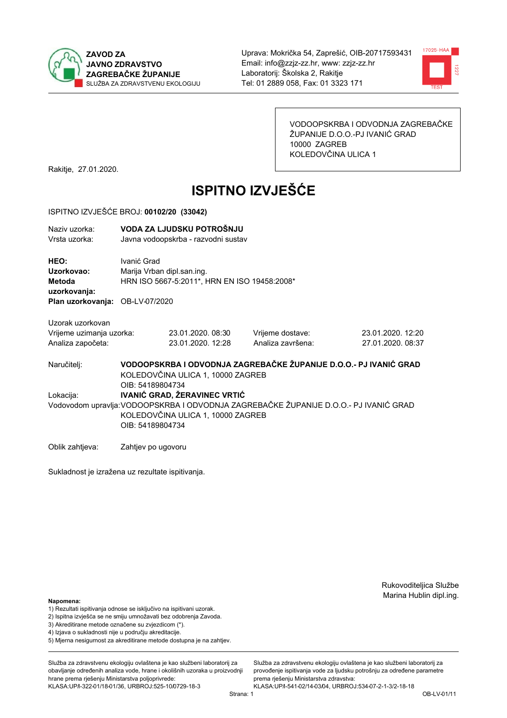



VODOOPSKRBA I ODVODNJA ZAGREBAČKE ŽUPANIJE D.O.O.-PJ IVANIĆ GRAD 10000 ZAGREB KOLEDOVČINA ULICA 1

Rakitje, 27.01.2020.

# **ISPITNO IZVJEŠĆE**

### ISPITNO IZVJEŠĆE BROJ: 00102/20 (33042)

| Naziv uzorka:                                   | VODA ZA LJUDSKU POTROŠNJU                    |
|-------------------------------------------------|----------------------------------------------|
| Vrsta uzorka:                                   | Javna vodoopskrba - razvodni sustav          |
| <b>HEO:</b>                                     | Ivanić Grad                                  |
| Uzorkovao:                                      | Marija Vrban dipl.san.ing.                   |
| Metoda                                          | HRN ISO 5667-5:2011*, HRN EN ISO 19458:2008* |
| uzorkovanja:<br>Plan uzorkovanja: OB-LV-07/2020 |                                              |

Uzorak uzorkovan Vrijeme uzimanja uzorka: Analiza započeta:

23.01.2020.08:30 23.01.2020. 12:28

Vrijeme dostave: Analiza završena: 23.01.2020. 12:20 27.01.2020. 08:37

VODOOPSKRBA I ODVODNJA ZAGREBAČKE ŽUPANIJE D.O.O.- PJ IVANIĆ GRAD Naručitelj: KOLEDOVČINA ULICA 1, 10000 ZAGREB OIB: 54189804734 Lokacija: **IVANIĆ GRAD, ŽERAVINEC VRTIĆ** Vodovodom upravlja: VODOOPSKRBA I ODVODNJA ZAGREBAČKE ŽUPANIJE D.O.O.- PJ IVANIĆ GRAD KOLEDOVČINA ULICA 1, 10000 ZAGREB OIB: 54189804734

Oblik zahtjeva: Zahtjev po ugovoru

Sukladnost je izražena uz rezultate ispitivanja.

Rukovoditeljica Službe Marina Hublin dipl.ing.

### Napomena:

- 1) Rezultati ispitivanja odnose se isključivo na ispitivani uzorak.
- 2) Ispitna izvješća se ne smiju umnožavati bez odobrenja Zavoda.
- 3) Akreditirane metode označene su zvjezdicom (\*).
- 4) Iziava o sukladnosti nije u područiu akreditacije.
- 5) Mjerna nesigurnost za akreditirane metode dostupna je na zahtjev.

Služba za zdravstvenu ekologiju ovlaštena je kao službeni laboratorij za obavlianie određenih analiza vode, hrane i okolišnih uzoraka u proizvodniji hrane prema rješenju Ministarstva poljoprivrede: KLASA:UP/l-322-01/18-01/36, URBROJ:525-10/0729-18-3

Služba za zdravstvenu ekologiju ovlaštena je kao službeni laboratorij za provođenie ispitivania vode za liudsku potrošniu za određene parametre prema riešenju Ministarstva zdravstva:

KLASA:UP/l-541-02/14-03/04, URBROJ:534-07-2-1-3/2-18-18 Strana: 1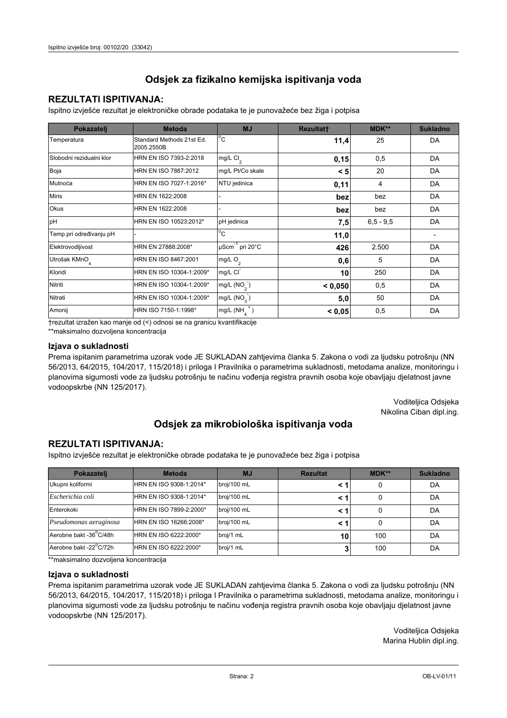### **REZULTATI ISPITIVANJA:**

Ispitno izviešće rezultat je elektroničke obrade podataka te je punovažeće bez žiga i potpisa

| Pokazatelj                | <b>Metoda</b>                           | <b>MJ</b>               | <b>Rezultatt</b> | <b>MDK**</b>  | <b>Sukladno</b> |
|---------------------------|-----------------------------------------|-------------------------|------------------|---------------|-----------------|
| Temperatura               | Standard Methods 21st Ed.<br>2005.2550B | $^{\circ}$ C            | 11,4             | 25            | DA              |
| Slobodni rezidualni klor  | HRN EN ISO 7393-2:2018                  | mg/L $Cl2$              | 0,15             | 0,5           | DA              |
| Boja                      | HRN EN ISO 7887:2012                    | mg/L Pt/Co skale        | < 5              | 20            | DA              |
| Mutnoća                   | HRN EN ISO 7027-1:2016*                 | NTU jedinica            | 0,11             | 4             | DA              |
| <b>Miris</b>              | HRN EN 1622:2008                        |                         | bez              | bez           | DA              |
| Okus                      | HRN EN 1622:2008                        |                         | bez              | bez           | DA              |
| pH                        | HRN EN ISO 10523:2012*                  | pH jedinica             | 7,5              | $6, 5 - 9, 5$ | DA              |
| Temp.pri određivanju pH   |                                         | $^{\circ}$ C            | 11,0             |               |                 |
| Elektrovodljivost         | HRN EN 27888:2008*                      | µScm-1 pri 20°C         | 426              | 2.500         | DA              |
| Utrošak KMnO <sub>4</sub> | HRN EN ISO 8467:2001                    | mg/L O <sub>2</sub>     | 0,6              | 5             | DA              |
| Kloridi                   | HRN EN ISO 10304-1:2009*                | mg/L CI                 | 10               | 250           | DA              |
| Nitriti                   | HRN EN ISO 10304-1:2009*                | mg/L (NO <sub>2</sub> ) | < 0.050          | 0,5           | DA              |
| Nitrati                   | HRN EN ISO 10304-1:2009*                | mg/L (NO <sub>3</sub> ) | 5,0              | 50            | DA              |
| Amonij                    | HRN ISO 7150-1:1998*                    | mg/L (NH                | < 0,05           | 0,5           | DA              |

trezultat izražen kao manje od (<) odnosi se na granicu kvantifikacije

\*\*maksimalno dozvoljena koncentracija

### Izjava o sukladnosti

Prema ispitanim parametrima uzorak vode JE SUKLADAN zahtievima članka 5. Zakona o vodi za ljudsku potrošnju (NN 56/2013, 64/2015, 104/2017, 115/2018) i priloga I Pravilnika o parametrima sukladnosti, metodama analize, monitoringu i planovima sigurnosti vode za ljudsku potrošnju te načinu vođenja registra pravnih osoba koje obavljaju djelatnost javne vodoopskrbe (NN 125/2017).

> Voditeljica Odsjeka Nikolina Ciban dipl.ing.

## Odsjek za mikrobiološka ispitivanja voda

### **REZULTATI ISPITIVANJA:**

Ispitno izvješće rezultat je elektroničke obrade podataka te je punovažeće bez žiga i potpisa

| Pokazatelj             | <b>Metoda</b>           | <b>MJ</b>   | <b>Rezultat</b> | <b>MDK**</b> | <b>Sukladno</b> |
|------------------------|-------------------------|-------------|-----------------|--------------|-----------------|
| Ukupni koliformi       | HRN EN ISO 9308-1:2014* | broj/100 mL |                 |              | DA              |
| Escherichia coli       | HRN EN ISO 9308-1:2014* | broj/100 mL | < 1             |              | DA              |
| Enterokoki             | HRN EN ISO 7899-2:2000* | broj/100 mL | < '             |              | DA              |
| Pseudomonas aeruginosa | HRN EN ISO 16266:2008*  | broj/100 mL | < 1             | 0            | DA              |
| Aerobne bakt -36 C/48h | HRN EN ISO 6222:2000*   | broj/1 mL   | 10              | 100          | DA              |
| Aerobne bakt -22°C/72h | HRN EN ISO 6222:2000*   | broj/1 mL   |                 | 100          | DA              |

\*\* maksimalno dozvoljena koncentracija

### Izjava o sukladnosti

Prema ispitanim parametrima uzorak vode JE SUKLADAN zahtjevima članka 5. Zakona o vodi za ljudsku potrošnju (NN 56/2013, 64/2015, 104/2017, 115/2018) i priloga I Pravilnika o parametrima sukladnosti, metodama analize, monitoringu i planovima sigurnosti vode za ljudsku potrošnju te načinu vođenja registra pravnih osoba koje obavljaju djelatnost javne vodoopskrbe (NN 125/2017).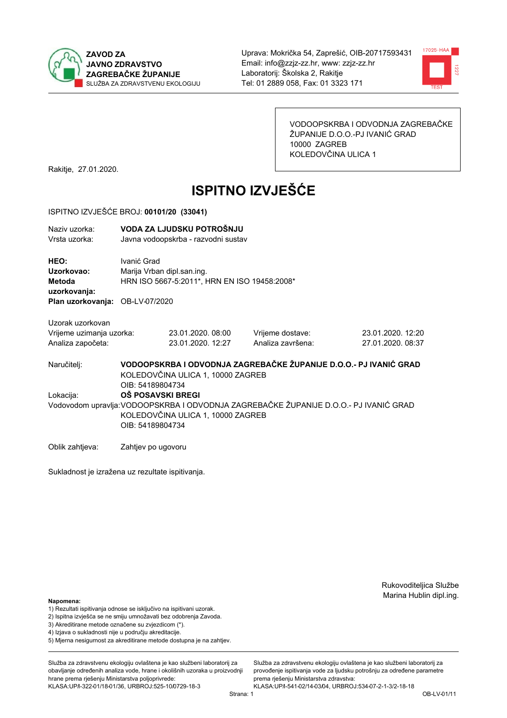



VODOOPSKRBA I ODVODNJA ZAGREBAČKE ŽUPANIJE D.O.O.-PJ IVANIĆ GRAD 10000 ZAGREB KOLEDOVČINA ULICA 1

Rakitje, 27.01.2020.

# **ISPITNO IZVJEŠĆE**

#### ISPITNO IZVJEŠĆE BROJ: 00101/20 (33041)

| Naziv uzorka: | VODA ZA LJUDSKU POTROŠNJU           |
|---------------|-------------------------------------|
| Vrsta uzorka: | Javna vodoopskrba - razvodni sustav |

HEO: Ivanić Grad Uzorkovao: Marija Vrban dipl.san.ing. Metoda HRN ISO 5667-5:2011\*, HRN EN ISO 19458:2008\* uzorkovanja: Plan uzorkovanja: OB-LV-07/2020

Uzorak uzorkovan

| Vrijeme uzimanja uzorka: | 23.01.2020.08:00  | Vrijeme dostave:  | 23.01.2020. 12:20 |
|--------------------------|-------------------|-------------------|-------------------|
| Analiza započeta:        | 23.01.2020. 12:27 | Analiza završena: | 27.01.2020.08:37  |

VODOOPSKRBA I ODVODNJA ZAGREBAČKE ŽUPANIJE D.O.O.- PJ IVANIĆ GRAD Naručitelj: KOLEDOVČINA ULICA 1, 10000 ZAGREB OIB: 54189804734 Lokacija: **OŠ POSAVSKI BREGI** Vodovodom upravlja: VODOOPSKRBA I ODVODNJA ZAGREBAČKE ŽUPANIJE D.O.O.- PJ IVANIĆ GRAD KOLEDOVČINA ULICA 1, 10000 ZAGREB OIB: 54189804734

Oblik zahtjeva: Zahtjev po ugovoru

Sukladnost je izražena uz rezultate ispitivanja.

Rukovoditeljica Službe Marina Hublin dipl.ing.

#### Napomena:

- 1) Rezultati ispitivanja odnose se isključivo na ispitivani uzorak.
- 2) Ispitna izvješća se ne smiju umnožavati bez odobrenja Zavoda.
- 3) Akreditirane metode označene su zvjezdicom (\*).
- 4) Iziava o sukladnosti nije u području akreditacije.
- 5) Mjerna nesigurnost za akreditirane metode dostupna je na zahtjev.

Služba za zdravstvenu ekologiju ovlaštena je kao službeni laboratorij za obavlianie određenih analiza vode, hrane i okolišnih uzoraka u proizvodniji hrane prema rješenju Ministarstva poljoprivrede: KLASA:UP/l-322-01/18-01/36, URBROJ:525-10/0729-18-3

Služba za zdravstvenu ekologiju ovlaštena je kao službeni laboratorij za provođenie ispitivania vode za liudsku potrošniu za određene parametre prema riešenju Ministarstva zdravstva: